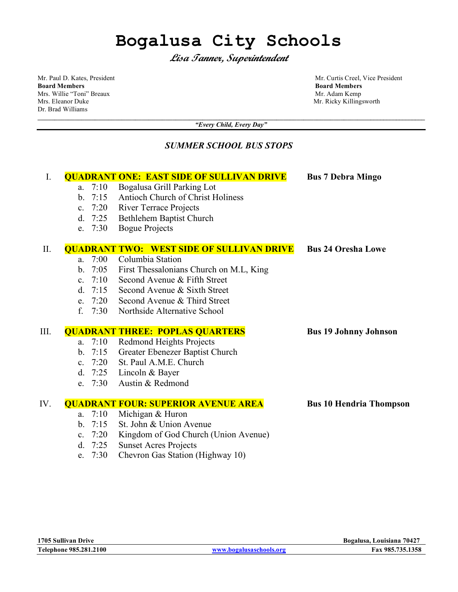# **Bogalusa City Schools**

**Lisa Tanner, Superintendent**

**Board Members Board Members**<br>
Mrs. Willie "Toni" Breaux **Board Members**<br>
Mr. Adam Kemp Mrs. Willie "Toni" Breaux Mrs. Eleanor Duke Mr. Ricky Killingsworth Mr. Ricky Killingsworth Dr. Brad Williams

Mr. Paul D. Kates, President and The States of the Mr. Curtis Creel, Vice President Members and Members and Members and Members and Members and Members and Members and Members and Members and Members and Members and Member

**\_\_\_\_\_\_\_\_\_\_\_\_\_\_\_\_\_\_\_\_\_\_\_\_\_\_\_\_\_\_\_\_\_\_\_\_\_\_\_\_\_\_\_\_\_\_\_\_\_\_\_\_\_\_\_\_\_\_\_\_\_\_\_\_\_\_\_\_\_\_\_\_\_\_\_\_\_\_\_\_\_\_\_\_\_\_\_\_\_\_\_\_\_\_\_\_\_\_\_\_\_\_\_\_\_\_\_\_\_\_\_\_\_\_\_\_** *"Every Child, Every Day"*

# *SUMMER SCHOOL BUS STOPS*

| I.   |                                                  |      | <b>QUADRANT ONE: EAST SIDE OF SULLIVAN DRIVE</b> | <b>Bus 7 Debra Mingo</b>       |
|------|--------------------------------------------------|------|--------------------------------------------------|--------------------------------|
|      | a.                                               | 7:10 | Bogalusa Grill Parking Lot                       |                                |
|      | $b$ .                                            | 7:15 | Antioch Church of Christ Holiness                |                                |
|      | C <sub>1</sub>                                   | 7:20 | <b>River Terrace Projects</b>                    |                                |
|      | d.                                               | 7:25 | Bethlehem Baptist Church                         |                                |
|      | e.                                               | 7:30 | <b>Bogue Projects</b>                            |                                |
| II.  | <b>QUADRANT TWO: WEST SIDE OF SULLIVAN DRIVE</b> |      |                                                  | <b>Bus 24 Oresha Lowe</b>      |
|      | $a_{\cdot}$                                      | 7:00 | Columbia Station                                 |                                |
|      | $\mathbf{b}$ .                                   | 7:05 | First Thessalonians Church on M.L, King          |                                |
|      | $c_{\cdot}$                                      | 7:10 | Second Avenue & Fifth Street                     |                                |
|      | d.                                               | 7:15 | Second Avenue & Sixth Street                     |                                |
|      | e.                                               | 7:20 | Second Avenue & Third Street                     |                                |
|      | f.                                               | 7:30 | Northside Alternative School                     |                                |
| III. |                                                  |      | <b>QUADRANT THREE: POPLAS QUARTERS</b>           | <b>Bus 19 Johnny Johnson</b>   |
|      | a.                                               | 7:10 | <b>Redmond Heights Projects</b>                  |                                |
|      | $\mathbf{b}$ .                                   | 7:15 | Greater Ebenezer Baptist Church                  |                                |
|      | $c_{\cdot}$                                      | 7:20 | St. Paul A.M.E. Church                           |                                |
|      | d.                                               | 7:25 | Lincoln & Bayer                                  |                                |
|      | e.                                               | 7:30 | Austin & Redmond                                 |                                |
| IV.  | <b>QUADRANT FOUR: SUPERIOR AVENUE AREA</b>       |      |                                                  | <b>Bus 10 Hendria Thompson</b> |
|      | a.                                               | 7:10 | Michigan & Huron                                 |                                |
|      | $\mathbf{b}$ .                                   | 7:15 | St. John & Union Avenue                          |                                |
|      | c.                                               | 7:20 | Kingdom of God Church (Union Avenue)             |                                |
|      | d.                                               | 7:25 | <b>Sunset Acres Projects</b>                     |                                |
|      | e.                                               | 7:30 | Chevron Gas Station (Highway 10)                 |                                |
|      |                                                  |      |                                                  |                                |
|      |                                                  |      |                                                  |                                |
|      |                                                  |      |                                                  |                                |